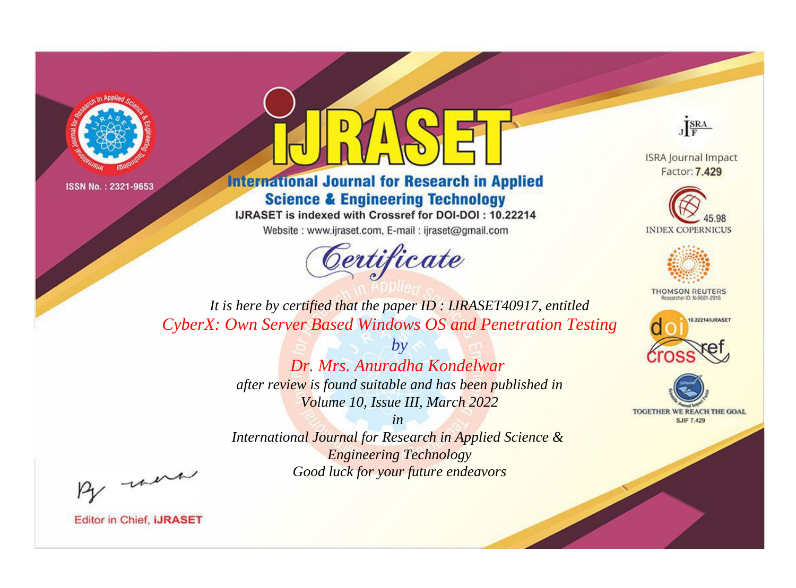



**International Journal for Research in Applied Science & Engineering Technology** 

IJRASET is indexed with Crossref for DOI-DOI: 10.22214

Website: www.ijraset.com, E-mail: ijraset@gmail.com



JERA

**ISRA Journal Impact** Factor: 7.429





**THOMSON REUTERS** 



TOGETHER WE REACH THE GOAL **SJIF 7.429** 

*It is here by certified that the paper ID : IJRASET40917, entitled CyberX: Own Server Based Windows OS and Penetration Testing*

> *by Dr. Mrs. Anuradha Kondelwar after review is found suitable and has been published in Volume 10, Issue III, March 2022*

> > *in*

*International Journal for Research in Applied Science & Engineering Technology Good luck for your future endeavors*

By morn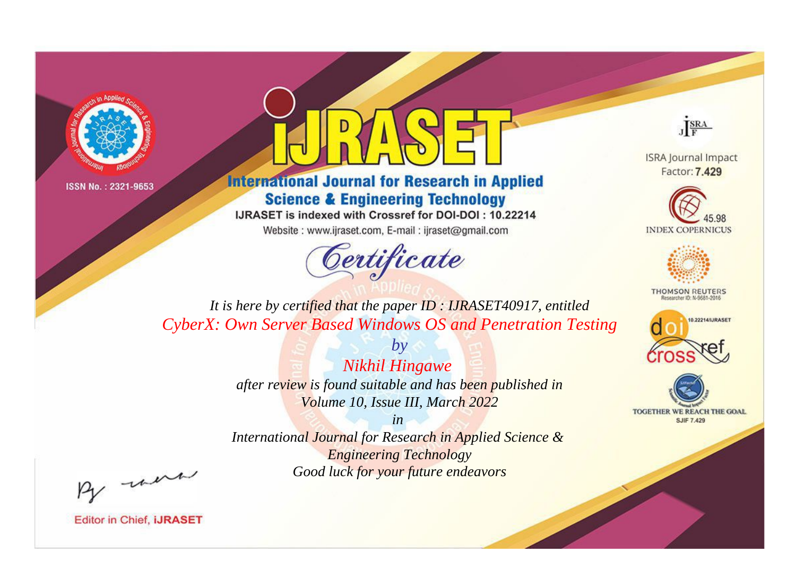



**International Journal for Research in Applied Science & Engineering Technology** 

IJRASET is indexed with Crossref for DOI-DOI: 10.22214

Website: www.ijraset.com, E-mail: ijraset@gmail.com



JERA

**ISRA Journal Impact** Factor: 7.429





**THOMSON REUTERS** 



TOGETHER WE REACH THE GOAL **SJIF 7.429** 

*It is here by certified that the paper ID : IJRASET40917, entitled CyberX: Own Server Based Windows OS and Penetration Testing*

> *by Nikhil Hingawe after review is found suitable and has been published in Volume 10, Issue III, March 2022*

> > *in*

*International Journal for Research in Applied Science & Engineering Technology Good luck for your future endeavors*

By morn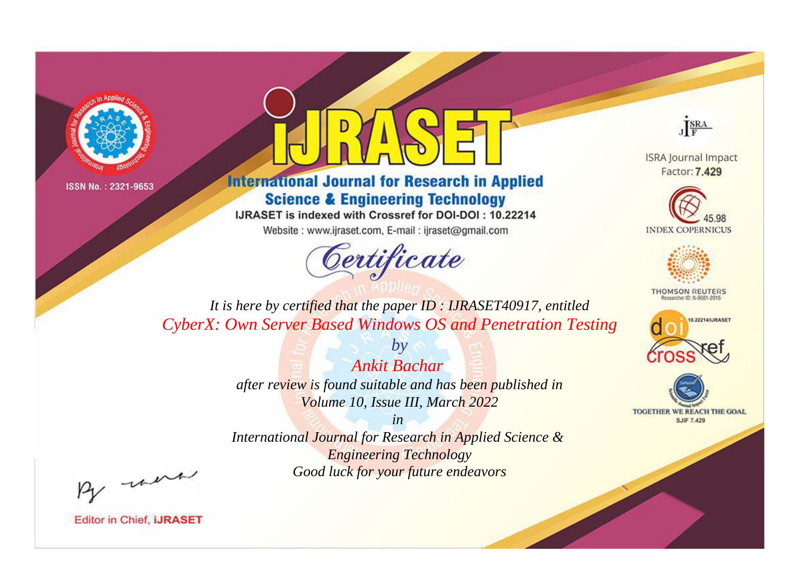



**International Journal for Research in Applied Science & Engineering Technology** 

IJRASET is indexed with Crossref for DOI-DOI: 10.22214

Website: www.ijraset.com, E-mail: ijraset@gmail.com



JERA

**ISRA Journal Impact** Factor: 7.429





**THOMSON REUTERS** 



TOGETHER WE REACH THE GOAL **SJIF 7.429** 

*It is here by certified that the paper ID : IJRASET40917, entitled CyberX: Own Server Based Windows OS and Penetration Testing*

> *Ankit Bachar after review is found suitable and has been published in Volume 10, Issue III, March 2022*

*by*

*in* 

*International Journal for Research in Applied Science & Engineering Technology Good luck for your future endeavors*

By morn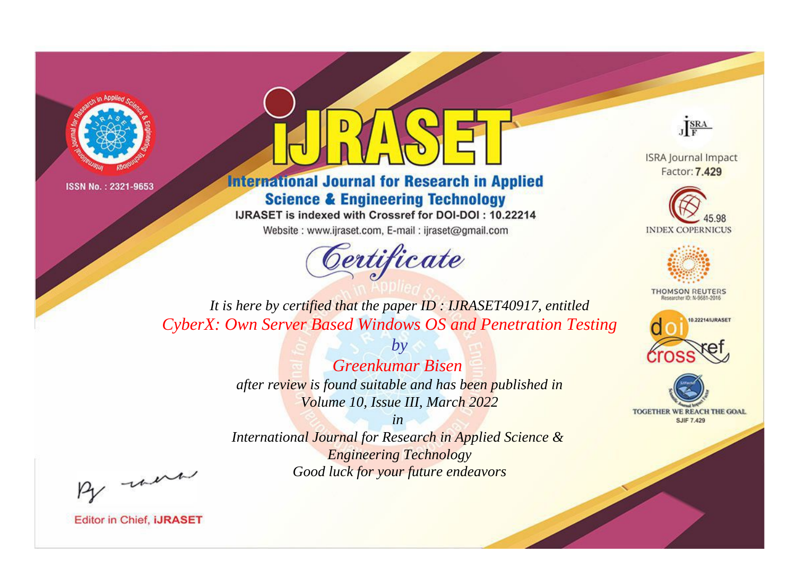



**International Journal for Research in Applied Science & Engineering Technology** 

IJRASET is indexed with Crossref for DOI-DOI: 10.22214

Website: www.ijraset.com, E-mail: ijraset@gmail.com





**ISRA Journal Impact** Factor: 7.429





**THOMSON REUTERS** 



TOGETHER WE REACH THE GOAL **SJIF 7.429** 

*It is here by certified that the paper ID : IJRASET40917, entitled CyberX: Own Server Based Windows OS and Penetration Testing*

> *Greenkumar Bisen after review is found suitable and has been published in Volume 10, Issue III, March 2022*

*by*

*in International Journal for Research in Applied Science & Engineering Technology Good luck for your future endeavors*

By morn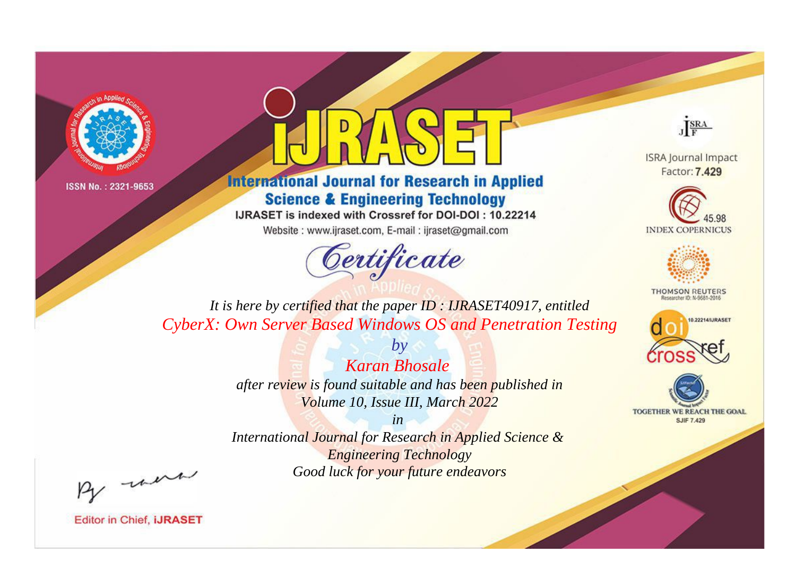



**International Journal for Research in Applied Science & Engineering Technology** 

IJRASET is indexed with Crossref for DOI-DOI: 10.22214

Website: www.ijraset.com, E-mail: ijraset@gmail.com



JERA

**ISRA Journal Impact** Factor: 7.429





**THOMSON REUTERS** 



TOGETHER WE REACH THE GOAL **SJIF 7.429** 

*It is here by certified that the paper ID : IJRASET40917, entitled CyberX: Own Server Based Windows OS and Penetration Testing*

> *Karan Bhosale after review is found suitable and has been published in Volume 10, Issue III, March 2022*

*by*

*in* 

*International Journal for Research in Applied Science & Engineering Technology Good luck for your future endeavors*

By morn